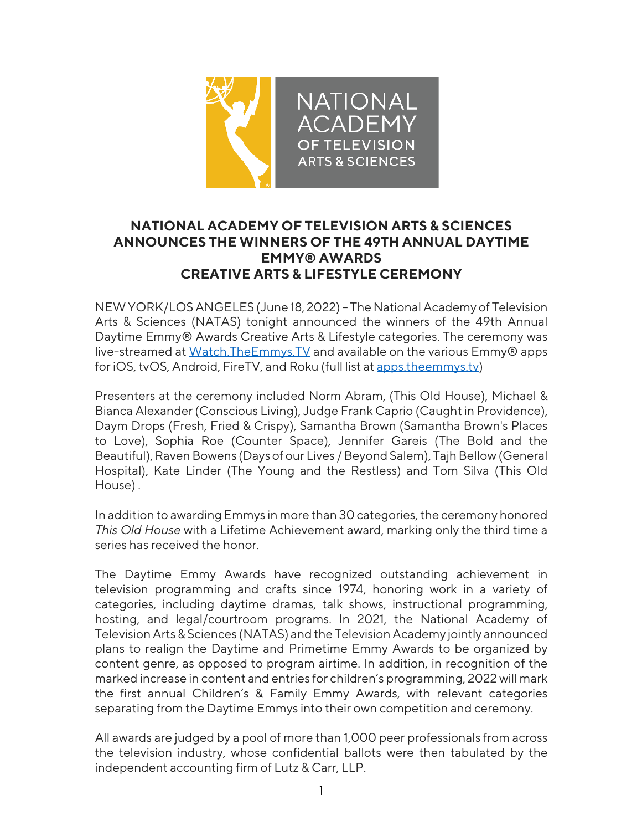

## **NATIONAL ACADEMY OF TELEVISION ARTS & SCIENCES ANNOUNCES THE WINNERS OF THE 49TH ANNUAL DAYTIME EMMY® AWARDS CREATIVE ARTS & LIFESTYLE CEREMONY**

NEW YORK/LOS ANGELES (June 18, 2022) – The National Academy of Television Arts & Sciences (NATAS) tonight announced the winners of the 49th Annual Daytime Emmy® Awards Creative Arts & Lifestyle categories. The ceremony was live-streamed at Watch.TheEmmys.TV and available on the various Emmy® apps for iOS, tvOS, Android, FireTV, and Roku (full list at apps.theemmys.tv)

Presenters at the ceremony included Norm Abram, (This Old House), Michael & Bianca Alexander (Conscious Living), Judge Frank Caprio (Caught in Providence), Daym Drops (Fresh, Fried & Crispy), Samantha Brown (Samantha Brown's Places to Love), Sophia Roe (Counter Space), Jennifer Gareis (The Bold and the Beautiful), Raven Bowens (Days of our Lives / Beyond Salem), Tajh Bellow (General Hospital), Kate Linder (The Young and the Restless) and Tom Silva (This Old House) .

In addition to awarding Emmys in more than 30 categories, the ceremony honored *This Old House* with a Lifetime Achievement award, marking only the third time a series has received the honor.

The Daytime Emmy Awards have recognized outstanding achievement in television programming and crafts since 1974, honoring work in a variety of categories, including daytime dramas, talk shows, instructional programming, hosting, and legal/courtroom programs. In 2021, the National Academy of Television Arts & Sciences (NATAS) and the Television Academy jointly announced plans to realign the Daytime and Primetime Emmy Awards to be organized by content genre, as opposed to program airtime. In addition, in recognition of the marked increase in content and entries for children's programming, 2022 will mark the first annual Children's & Family Emmy Awards, with relevant categories separating from the Daytime Emmys into their own competition and ceremony.

All awards are judged by a pool of more than 1,000 peer professionals from across the television industry, whose confidential ballots were then tabulated by the independent accounting firm of Lutz & Carr, LLP.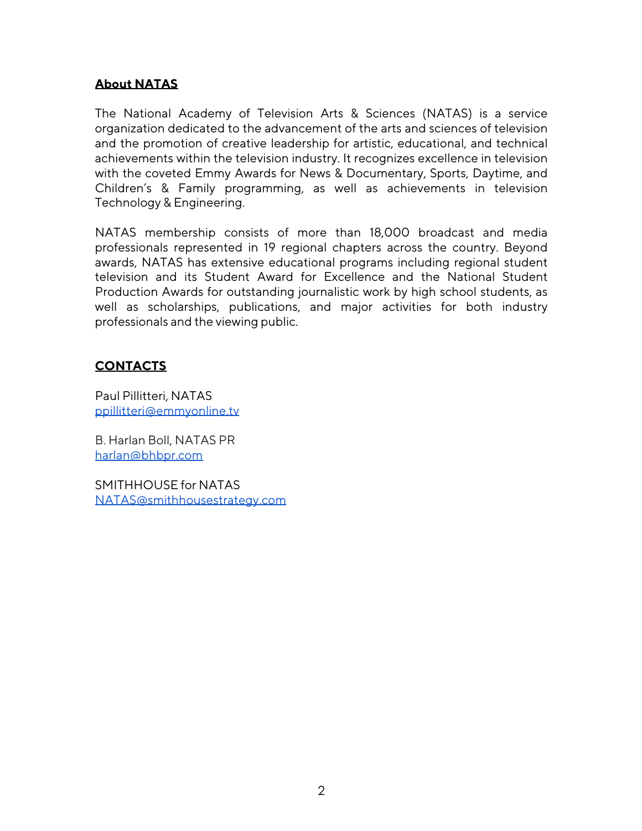### **About NATAS**

The National Academy of Television Arts & Sciences (NATAS) is a service organization dedicated to the advancement of the arts and sciences of television and the promotion of creative leadership for artistic, educational, and technical achievements within the television industry. It recognizes excellence in television with the coveted Emmy Awards for News & Documentary, Sports, Daytime, and Children's & Family programming, as well as achievements in television Technology & Engineering.

NATAS membership consists of more than 18,000 broadcast and media professionals represented in 19 regional chapters across the country. Beyond awards, NATAS has extensive educational programs including regional student television and its Student Award for Excellence and the National Student Production Awards for outstanding journalistic work by high school students, as well as scholarships, publications, and major activities for both industry professionals and the viewing public.

### **CONTACTS**

Paul Pillitteri, NATAS ppillitteri@emmyonline.tv

B. Harlan Boll, NATAS PR harlan@bhbpr.com

SMITHHOUSE for NATAS NATAS@smithhousestrategy.com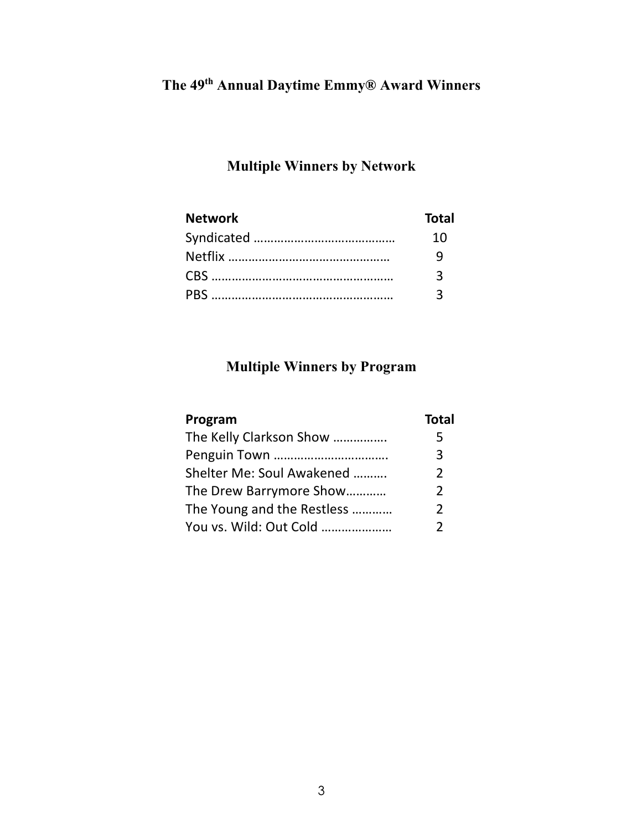# **The 49th Annual Daytime Emmy® Award Winners**

## **Multiple Winners by Network**

| <b>Network</b> | <b>Total</b> |
|----------------|--------------|
|                | 10           |
|                |              |
|                |              |
|                |              |

## **Multiple Winners by Program**

| Program                    | <b>Total</b>  |
|----------------------------|---------------|
| The Kelly Clarkson Show    | 5             |
|                            | 3             |
| Shelter Me: Soul Awakened  | 2             |
| The Drew Barrymore Show    | 2             |
| The Young and the Restless | 2             |
| You vs. Wild: Out Cold     | $\mathcal{P}$ |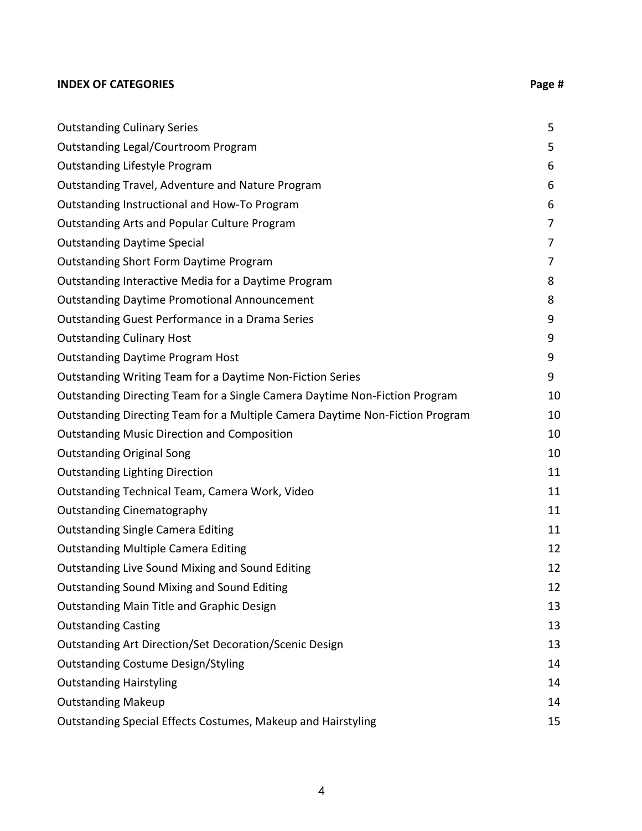#### **INDEX OF CATEGORIES Page #**

| <b>Outstanding Culinary Series</b>                                           | 5  |
|------------------------------------------------------------------------------|----|
| <b>Outstanding Legal/Courtroom Program</b>                                   | 5  |
| <b>Outstanding Lifestyle Program</b>                                         | 6  |
| Outstanding Travel, Adventure and Nature Program                             | 6  |
| Outstanding Instructional and How-To Program                                 | 6  |
| <b>Outstanding Arts and Popular Culture Program</b>                          | 7  |
| <b>Outstanding Daytime Special</b>                                           | 7  |
| <b>Outstanding Short Form Daytime Program</b>                                | 7  |
| Outstanding Interactive Media for a Daytime Program                          | 8  |
| <b>Outstanding Daytime Promotional Announcement</b>                          | 8  |
| Outstanding Guest Performance in a Drama Series                              | 9  |
| <b>Outstanding Culinary Host</b>                                             | 9  |
| <b>Outstanding Daytime Program Host</b>                                      | 9  |
| Outstanding Writing Team for a Daytime Non-Fiction Series                    | 9  |
| Outstanding Directing Team for a Single Camera Daytime Non-Fiction Program   | 10 |
| Outstanding Directing Team for a Multiple Camera Daytime Non-Fiction Program | 10 |
| <b>Outstanding Music Direction and Composition</b>                           | 10 |
| <b>Outstanding Original Song</b>                                             | 10 |
| <b>Outstanding Lighting Direction</b>                                        | 11 |
| Outstanding Technical Team, Camera Work, Video                               | 11 |
| <b>Outstanding Cinematography</b>                                            | 11 |
| <b>Outstanding Single Camera Editing</b>                                     | 11 |
| <b>Outstanding Multiple Camera Editing</b>                                   | 12 |
| Outstanding Live Sound Mixing and Sound Editing                              | 12 |
| <b>Outstanding Sound Mixing and Sound Editing</b>                            | 12 |
| <b>Outstanding Main Title and Graphic Design</b>                             | 13 |
| <b>Outstanding Casting</b>                                                   | 13 |
| Outstanding Art Direction/Set Decoration/Scenic Design                       | 13 |
| <b>Outstanding Costume Design/Styling</b>                                    | 14 |
| <b>Outstanding Hairstyling</b>                                               | 14 |
| <b>Outstanding Makeup</b>                                                    | 14 |
| Outstanding Special Effects Costumes, Makeup and Hairstyling                 | 15 |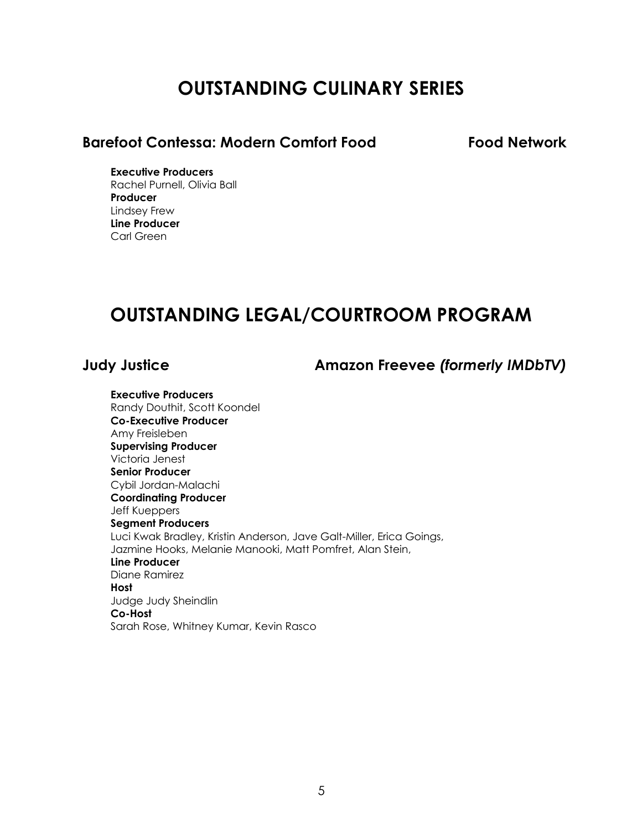# **OUTSTANDING CULINARY SERIES**

## **Barefoot Contessa: Modern Comfort Food Food Network**

**Executive Producers** Rachel Purnell, Olivia Ball **Producer** Lindsey Frew **Line Producer** Carl Green

## **OUTSTANDING LEGAL/COURTROOM PROGRAM**

**Judy Justice Amazon Freevee** *(formerly IMDbTV)*

**Executive Producers** Randy Douthit, Scott Koondel **Co-Executive Producer** Amy Freisleben **Supervising Producer** Victoria Jenest **Senior Producer** Cybil Jordan-Malachi **Coordinating Producer** Jeff Kueppers **Segment Producers** Luci Kwak Bradley, Kristin Anderson, Jave Galt-Miller, Erica Goings, Jazmine Hooks, Melanie Manooki, Matt Pomfret, Alan Stein, **Line Producer** Diane Ramirez **Host** Judge Judy Sheindlin **Co-Host** Sarah Rose, Whitney Kumar, Kevin Rasco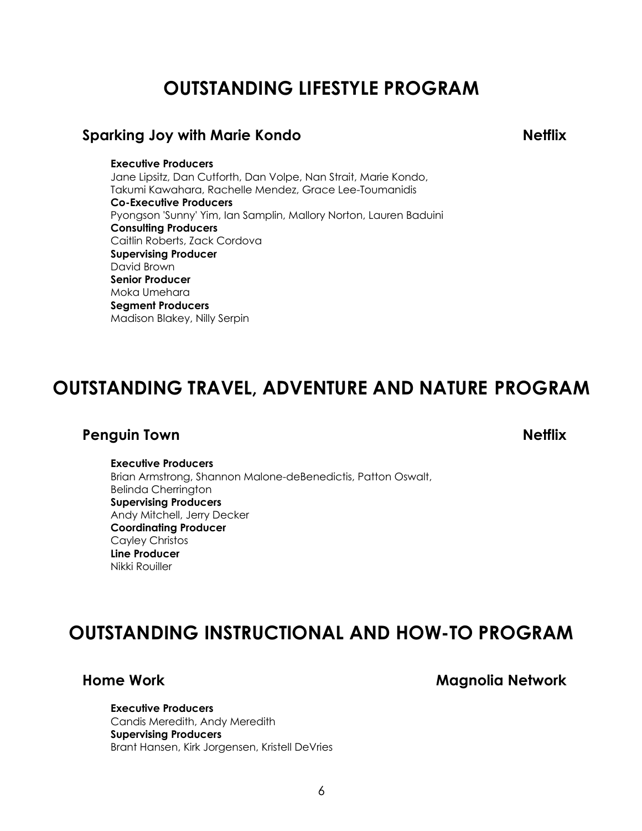# **OUTSTANDING LIFESTYLE PROGRAM**

### **Sparking Joy with Marie Kondo Netflix**

**Executive Producers** Jane Lipsitz, Dan Cutforth, Dan Volpe, Nan Strait, Marie Kondo, Takumi Kawahara, Rachelle Mendez, Grace Lee-Toumanidis **Co-Executive Producers** Pyongson 'Sunny' Yim, Ian Samplin, Mallory Norton, Lauren Baduini **Consulting Producers** Caitlin Roberts, Zack Cordova **Supervising Producer** David Brown **Senior Producer** Moka Umehara **Segment Producers** Madison Blakey, Nilly Serpin

# **OUTSTANDING TRAVEL, ADVENTURE AND NATURE PROGRAM**

## **Penguin Town Netflix**

## **Executive Producers**

Brian Armstrong, Shannon Malone-deBenedictis, Patton Oswalt, Belinda Cherrington **Supervising Producers** Andy Mitchell, Jerry Decker **Coordinating Producer** Cayley Christos **Line Producer** Nikki Rouiller

## **OUTSTANDING INSTRUCTIONAL AND HOW-TO PROGRAM**

**Home Work Magnolia Network**

**Executive Producers** Candis Meredith, Andy Meredith **Supervising Producers** Brant Hansen, Kirk Jorgensen, Kristell DeVries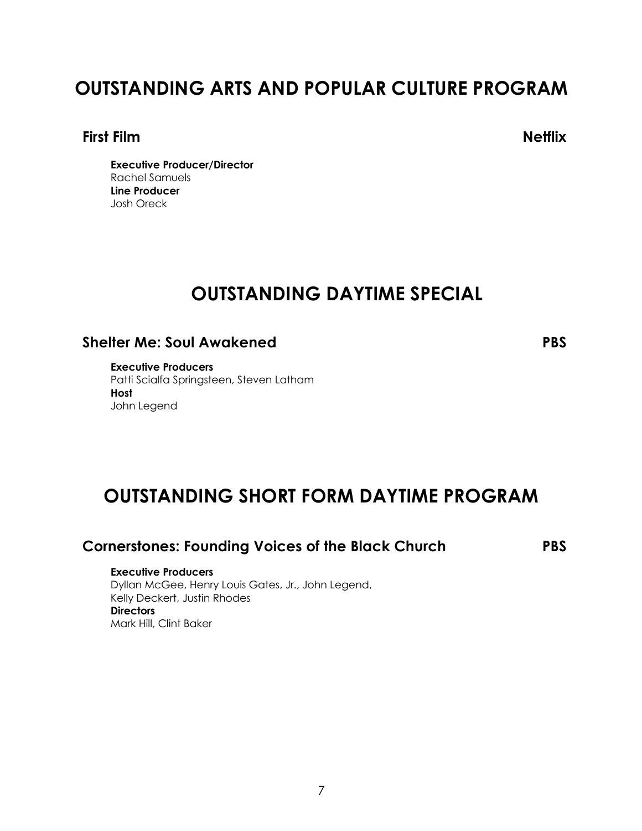# **OUTSTANDING ARTS AND POPULAR CULTURE PROGRAM**

#### **First Film Netflix**

**Executive Producer/Director** Rachel Samuels **Line Producer** Josh Oreck

## **OUTSTANDING DAYTIME SPECIAL**

## **Shelter Me: Soul Awakened PBS**

**Executive Producers** Patti Scialfa Springsteen, Steven Latham **Host** John Legend

## **OUTSTANDING SHORT FORM DAYTIME PROGRAM**

### **Cornerstones: Founding Voices of the Black Church PBS**

#### **Executive Producers**

Dyllan McGee, Henry Louis Gates, Jr., John Legend, Kelly Deckert, Justin Rhodes **Directors** Mark Hill, Clint Baker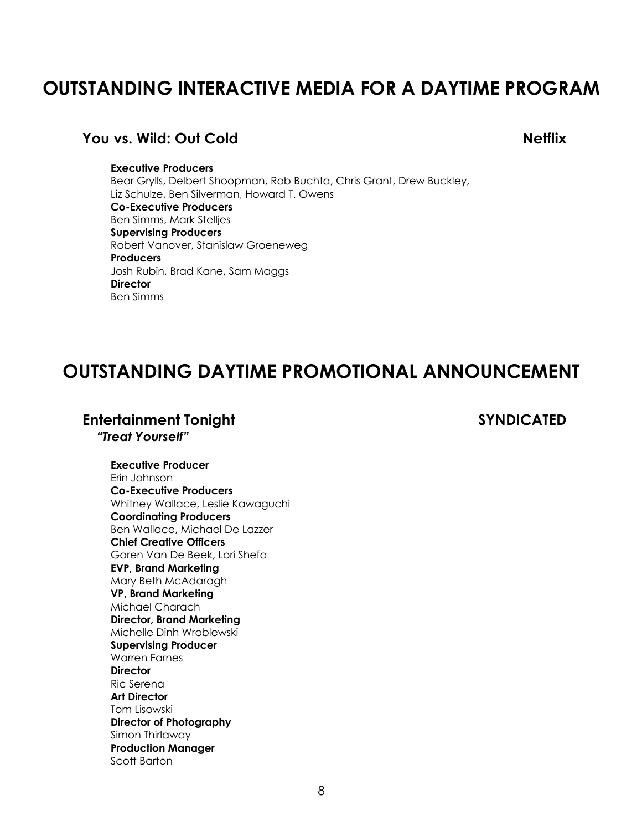# **OUTSTANDING INTERACTIVE MEDIA FOR A DAYTIME PROGRAM**

#### **You vs. Wild: Out Cold Netflix**

#### **Executive Producers**

Bear Grylls, Delbert Shoopman, Rob Buchta, Chris Grant, Drew Buckley, Liz Schulze, Ben Silverman, Howard T. Owens **Co-Executive Producers** Ben Simms, Mark Stelljes **Supervising Producers** Robert Vanover, Stanislaw Groeneweg **Producers** Josh Rubin, Brad Kane, Sam Maggs **Director** Ben Simms

## **OUTSTANDING DAYTIME PROMOTIONAL ANNOUNCEMENT**

## **Entertainment Tonight SYNDICATED**

 *"Treat Yourself"*

**Executive Producer** Erin Johnson **Co-Executive Producers** Whitney Wallace, Leslie Kawaguchi **Coordinating Producers** Ben Wallace, Michael De Lazzer **Chief Creative Officers** Garen Van De Beek, Lori Shefa **EVP, Brand Marketing** Mary Beth McAdaragh **VP, Brand Marketing** Michael Charach **Director, Brand Marketing** Michelle Dinh Wroblewski **Supervising Producer** Warren Farnes **Director** Ric Serena **Art Director** Tom Lisowski **Director of Photography** Simon Thirlaway **Production Manager** Scott Barton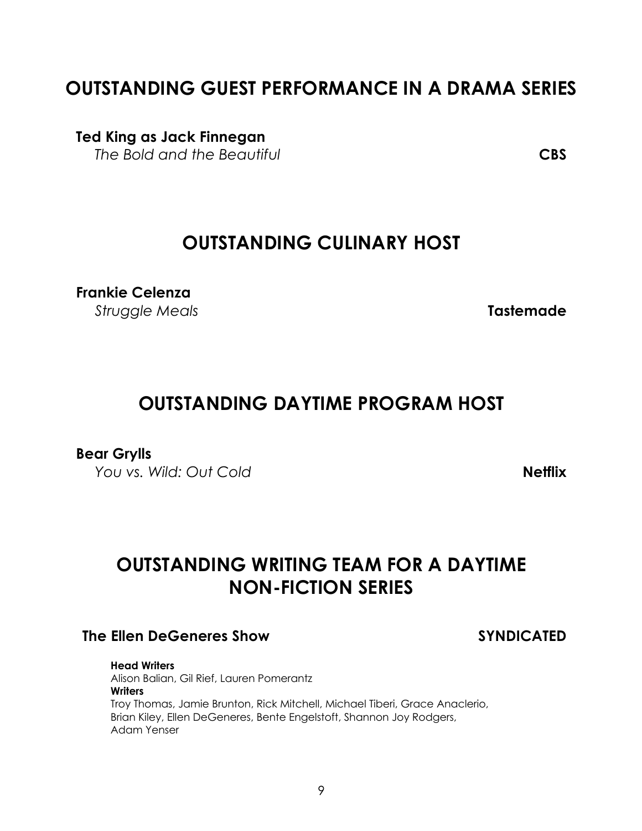# **OUTSTANDING GUEST PERFORMANCE IN A DRAMA SERIES**

**Ted King as Jack Finnegan**

*The Bold and the Beautiful* **CBS**

## **OUTSTANDING CULINARY HOST**

**Frankie Celenza** *Struggle Meals* **Tastemade**

# **OUTSTANDING DAYTIME PROGRAM HOST**

## **Bear Grylls**

*You vs. Wild: Out Cold* **Netflix**

# **OUTSTANDING WRITING TEAM FOR A DAYTIME NON-FICTION SERIES**

## **The Ellen DeGeneres Show SYNDICATED**

**Head Writers** Alison Balian, Gil Rief, Lauren Pomerantz **Writers** Troy Thomas, Jamie Brunton, Rick Mitchell, Michael Tiberi, Grace Anaclerio, Brian Kiley, Ellen DeGeneres, Bente Engelstoft, Shannon Joy Rodgers, Adam Yenser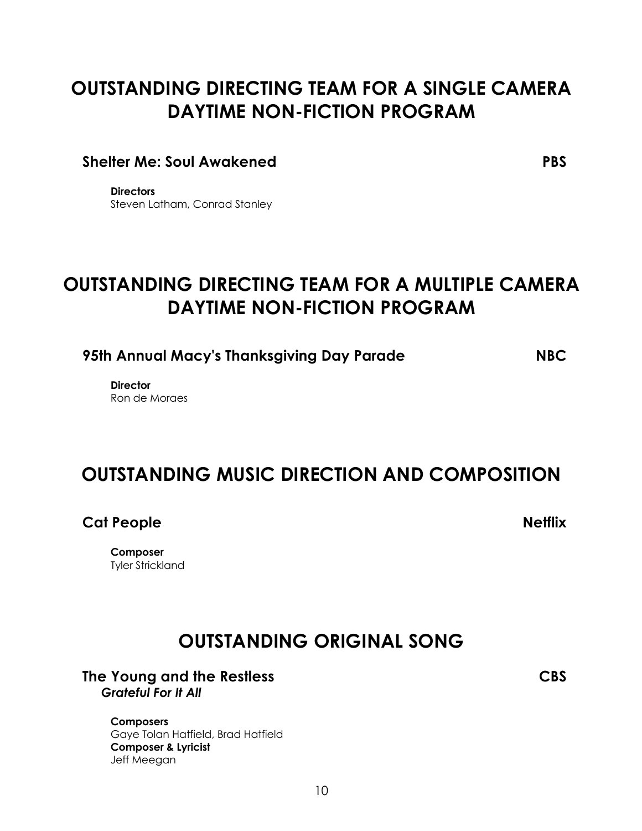# **OUTSTANDING DIRECTING TEAM FOR A SINGLE CAMERA DAYTIME NON-FICTION PROGRAM**

### **Shelter Me: Soul Awakened PBS**

**Directors** Steven Latham, Conrad Stanley

# **OUTSTANDING DIRECTING TEAM FOR A MULTIPLE CAMERA DAYTIME NON-FICTION PROGRAM**

**95th Annual Macy's Thanksgiving Day Parade NBC**

**Director** Ron de Moraes

## **OUTSTANDING MUSIC DIRECTION AND COMPOSITION**

**Cat People Netflix**

**Composer** Tyler Strickland

# **OUTSTANDING ORIGINAL SONG**

#### **The Young and the Restless CBS** *Grateful For It All*

**Composers** Gaye Tolan Hatfield, Brad Hatfield **Composer & Lyricist** Jeff Meegan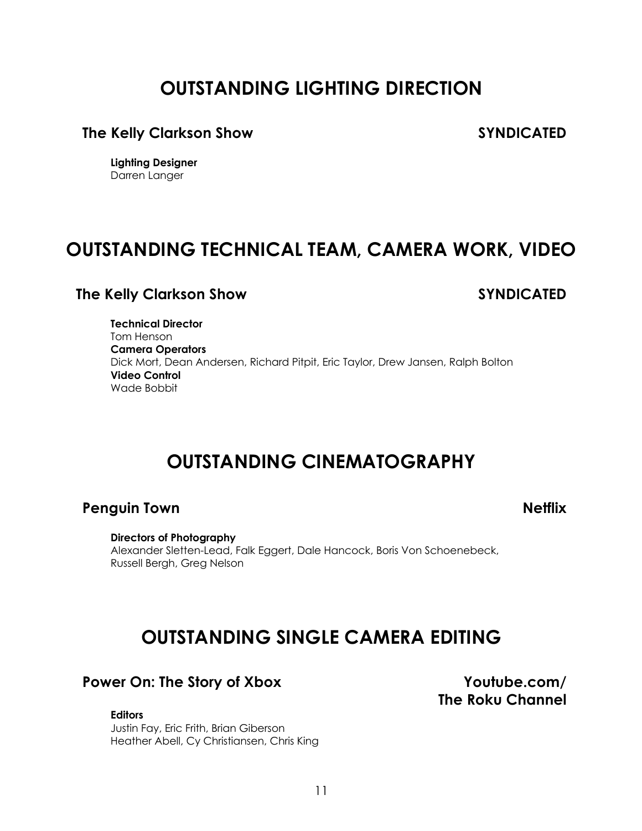# **OUTSTANDING LIGHTING DIRECTION**

### **The Kelly Clarkson Show SYNDICATED**

**Lighting Designer** Darren Langer

## **OUTSTANDING TECHNICAL TEAM, CAMERA WORK, VIDEO**

### **The Kelly Clarkson Show SYNDICATED**

**Technical Director** Tom Henson **Camera Operators** Dick Mort, Dean Andersen, Richard Pitpit, Eric Taylor, Drew Jansen, Ralph Bolton **Video Control** Wade Bobbit

## **OUTSTANDING CINEMATOGRAPHY**

### **Penguin Town Netflix**

**Directors of Photography** Alexander Sletten-Lead, Falk Eggert, Dale Hancock, Boris Von Schoenebeck, Russell Bergh, Greg Nelson

## **OUTSTANDING SINGLE CAMERA EDITING**

### **Power On: The Story of Xbox Youtube.com/**

**Editors**

Justin Fay, Eric Frith, Brian Giberson Heather Abell, Cy Christiansen, Chris King **The Roku Channel**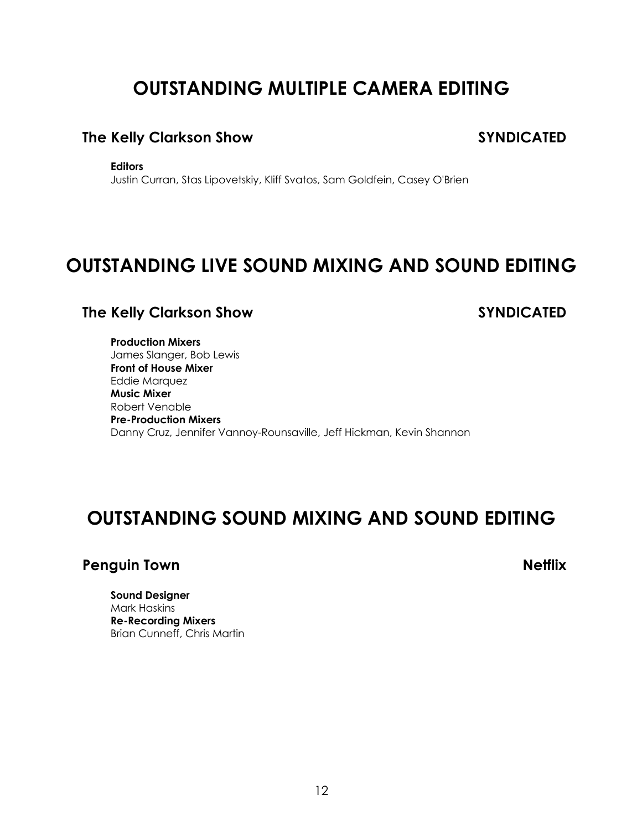# **OUTSTANDING MULTIPLE CAMERA EDITING**

## **The Kelly Clarkson Show SYNDICATED**

**Editors**

Justin Curran, Stas Lipovetskiy, Kliff Svatos, Sam Goldfein, Casey O'Brien

## **OUTSTANDING LIVE SOUND MIXING AND SOUND EDITING**

## **The Kelly Clarkson Show SYNDICATED**

**Production Mixers** James Slanger, Bob Lewis **Front of House Mixer** Eddie Marquez **Music Mixer** Robert Venable **Pre-Production Mixers** Danny Cruz, Jennifer Vannoy-Rounsaville, Jeff Hickman, Kevin Shannon

## **OUTSTANDING SOUND MIXING AND SOUND EDITING**

### **Penguin Town Netflix**

**Sound Designer** Mark Haskins **Re-Recording Mixers** Brian Cunneff, Chris Martin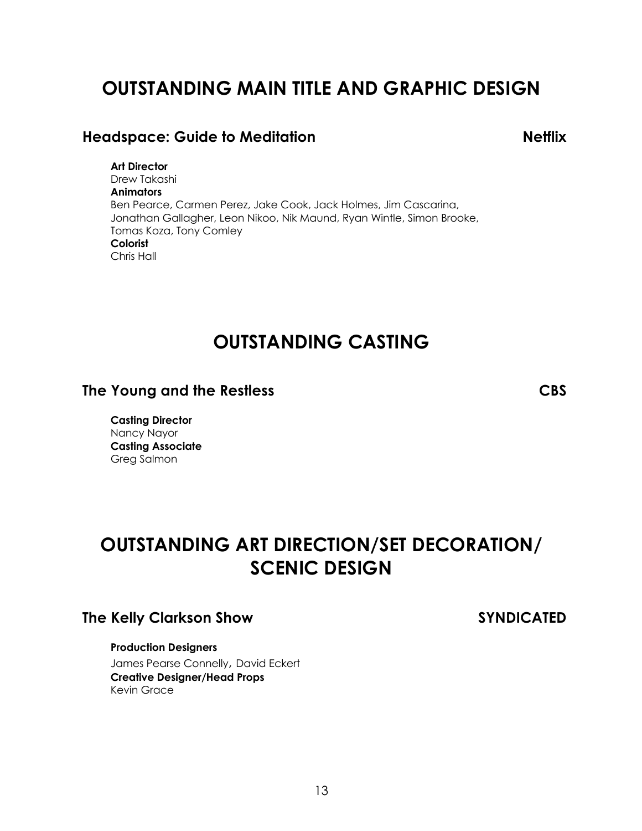# **OUTSTANDING MAIN TITLE AND GRAPHIC DESIGN**

## **Headspace: Guide to Meditation Netflix**

**Art Director** Drew Takashi **Animators** Ben Pearce, Carmen Perez, Jake Cook, Jack Holmes, Jim Cascarina, Jonathan Gallagher, Leon Nikoo, Nik Maund, Ryan Wintle, Simon Brooke, Tomas Koza, Tony Comley **Colorist** Chris Hall

## **OUTSTANDING CASTING**

### **The Young and the Restless CBS**

**Casting Director** Nancy Nayor **Casting Associate** Greg Salmon

# **OUTSTANDING ART DIRECTION/SET DECORATION/ SCENIC DESIGN**

### **The Kelly Clarkson Show SYNDICATED**

#### **Production Designers**

James Pearse Connelly, David Eckert **Creative Designer/Head Props** Kevin Grace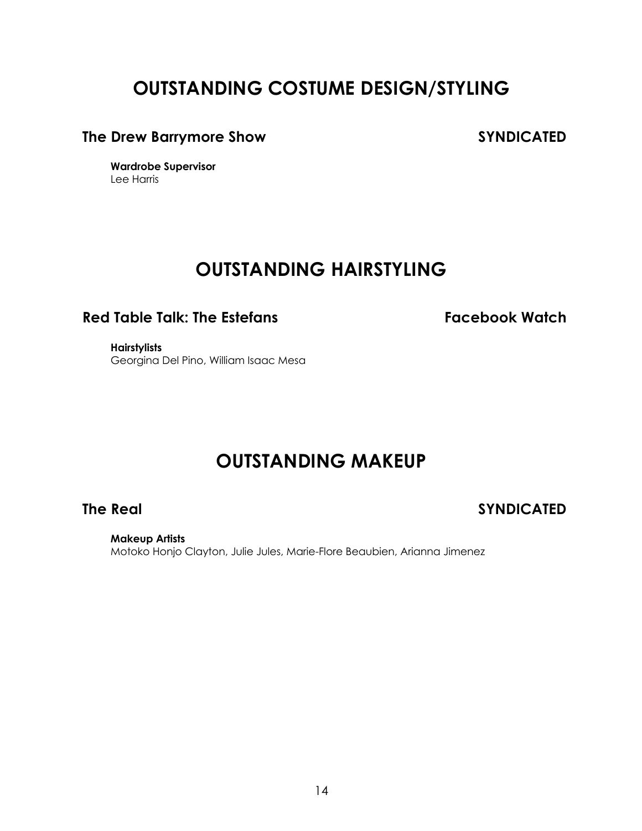# **OUTSTANDING COSTUME DESIGN/STYLING**

## **The Drew Barrymore Show SYNDICATED**

**Wardrobe Supervisor** Lee Harris

## **OUTSTANDING HAIRSTYLING**

## **Red Table Talk: The Estefans Facebook Watch**

**Hairstylists** Georgina Del Pino, William Isaac Mesa

## **OUTSTANDING MAKEUP**

**The Real SYNDICATED**

**Makeup Artists** Motoko Honjo Clayton, Julie Jules, Marie-Flore Beaubien, Arianna Jimenez